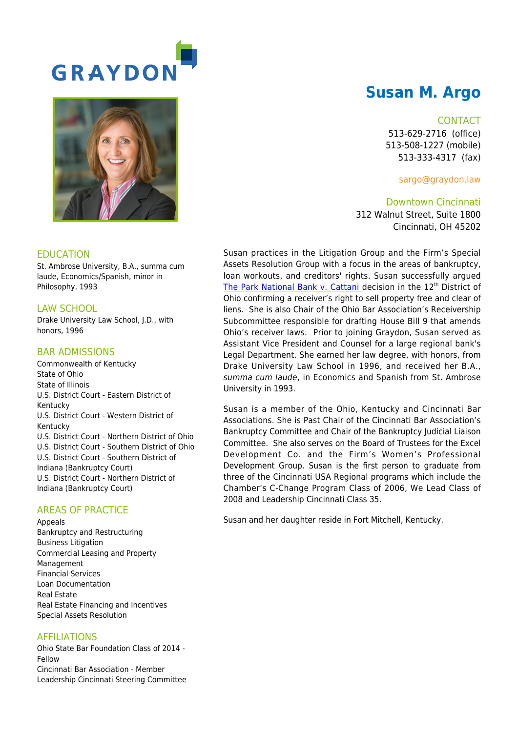

# **Susan M. Argo**

#### **CONTACT**

513-629-2716 (office) 513-508-1227 (mobile) 513-333-4317 (fax)

sargo@graydon.law

Downtown Cincinnati 312 Walnut Street, Suite 1800 Cincinnati, OH 45202

Susan practices in the Litigation Group and the Firm's Special Assets Resolution Group with a focus in the areas of bankruptcy, loan workouts, and creditors' rights. Susan successfully argued [The Park National Bank v. Cattani](http://www.sconet.state.oh.us/pdf_viewer/pdf_viewer.aspx?pdf=667357.pdf) decision in the 12<sup>th</sup> District of Ohio confirming a receiver's right to sell property free and clear of liens. She is also Chair of the Ohio Bar Association's Receivership Subcommittee responsible for drafting House Bill 9 that amends Ohio's receiver laws. Prior to joining Graydon, Susan served as Assistant Vice President and Counsel for a large regional bank's Legal Department. She earned her law degree, with honors, from Drake University Law School in 1996, and received her B.A., summa cum laude, in Economics and Spanish from St. Ambrose University in 1993.

Susan is a member of the Ohio, Kentucky and Cincinnati Bar Associations. She is Past Chair of the Cincinnati Bar Association's Bankruptcy Committee and Chair of the Bankruptcy Judicial Liaison Committee. She also serves on the Board of Trustees for the Excel Development Co. and the Firm's Women's Professional Development Group. Susan is the first person to graduate from three of the Cincinnati USA Regional programs which include the Chamber's C-Change Program Class of 2006, We Lead Class of 2008 and Leadership Cincinnati Class 35.

Susan and her daughter reside in Fort Mitchell, Kentucky.

### EDUCATION

St. Ambrose University, B.A., summa cum laude, Economics/Spanish, minor in Philosophy, 1993

# LAW SCHOOL

Drake University Law School, J.D., with honors, 1996

# BAR ADMISSIONS

Commonwealth of Kentucky State of Ohio State of Illinois U.S. District Court - Eastern District of Kentucky U.S. District Court - Western District of Kentucky U.S. District Court - Northern District of Ohio U.S. District Court - Southern District of Ohio U.S. District Court - Southern District of Indiana (Bankruptcy Court) U.S. District Court - Northern District of Indiana (Bankruptcy Court)

# AREAS OF PRACTICE

Appeals Bankruptcy and Restructuring Business Litigation Commercial Leasing and Property Management Financial Services Loan Documentation Real Estate Real Estate Financing and Incentives Special Assets Resolution

# AFFILIATIONS

Ohio State Bar Foundation Class of 2014 - Fellow Cincinnati Bar Association - Member Leadership Cincinnati Steering Committee